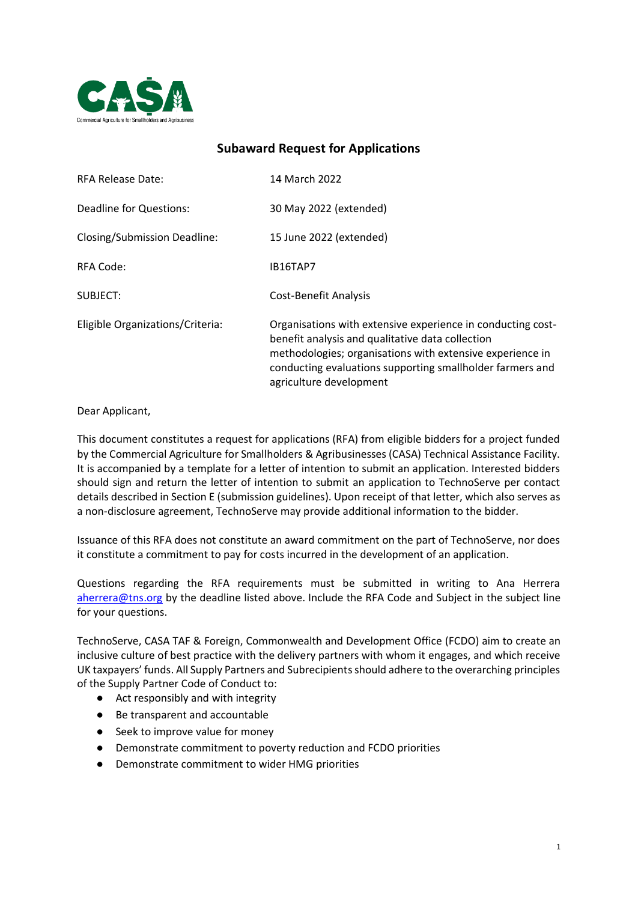

# **Subaward Request for Applications**

| <b>RFA Release Date:</b>         | 14 March 2022                                                                                                                                                                                                                                                        |
|----------------------------------|----------------------------------------------------------------------------------------------------------------------------------------------------------------------------------------------------------------------------------------------------------------------|
| Deadline for Questions:          | 30 May 2022 (extended)                                                                                                                                                                                                                                               |
| Closing/Submission Deadline:     | 15 June 2022 (extended)                                                                                                                                                                                                                                              |
| RFA Code:                        | IB16TAP7                                                                                                                                                                                                                                                             |
| SUBJECT:                         | Cost-Benefit Analysis                                                                                                                                                                                                                                                |
| Eligible Organizations/Criteria: | Organisations with extensive experience in conducting cost-<br>benefit analysis and qualitative data collection<br>methodologies; organisations with extensive experience in<br>conducting evaluations supporting smallholder farmers and<br>agriculture development |

Dear Applicant,

This document constitutes a request for applications (RFA) from eligible bidders for a project funded by the Commercial Agriculture for Smallholders & Agribusinesses (CASA) Technical Assistance Facility. It is accompanied by a template for a letter of intention to submit an application. Interested bidders should sign and return the letter of intention to submit an application to TechnoServe per contact details described in Section E (submission guidelines). Upon receipt of that letter, which also serves as a non-disclosure agreement, TechnoServe may provide additional information to the bidder.

Issuance of this RFA does not constitute an award commitment on the part of TechnoServe, nor does it constitute a commitment to pay for costs incurred in the development of an application.

Questions regarding the RFA requirements must be submitted in writing to Ana Herrera [aherrera@tns.org](mailto:aherrera@tns.org) by the deadline listed above. Include the RFA Code and Subject in the subject line for your questions.

TechnoServe, CASA TAF & Foreign, Commonwealth and Development Office (FCDO) aim to create an inclusive culture of best practice with the delivery partners with whom it engages, and which receive UK taxpayers' funds. All Supply Partners and Subrecipients should adhere to the overarching principles of the Supply Partner Code of Conduct to:

- Act responsibly and with integrity
- Be transparent and accountable
- Seek to improve value for money
- Demonstrate commitment to poverty reduction and FCDO priorities
- Demonstrate commitment to wider HMG priorities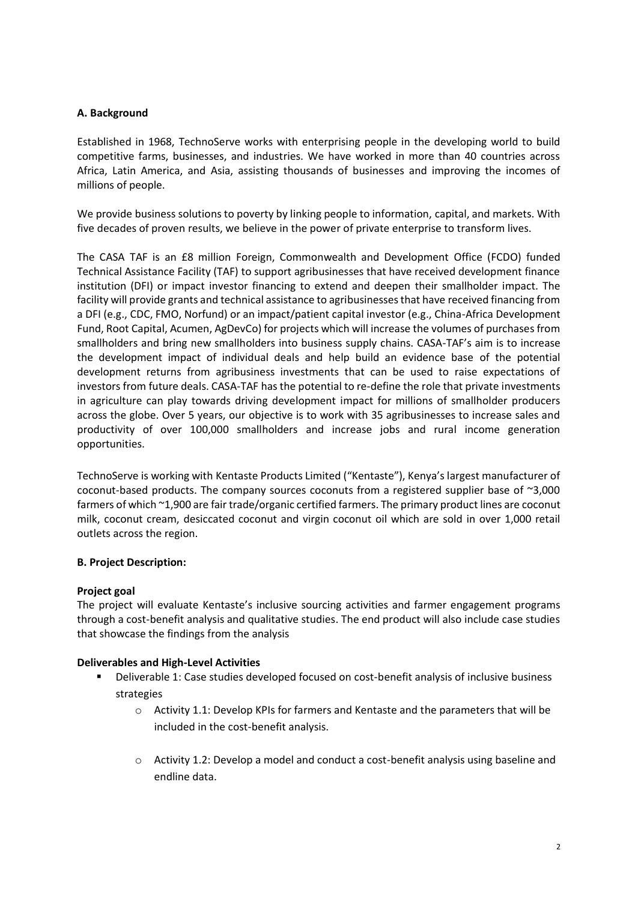## **A. Background**

Established in 1968, TechnoServe works with enterprising people in the developing world to build competitive farms, businesses, and industries. We have worked in more than 40 countries across Africa, Latin America, and Asia, assisting thousands of businesses and improving the incomes of millions of people.

We provide business solutions to poverty by linking people to information, capital, and markets. With five decades of proven results, we believe in the power of private enterprise to transform lives.

The CASA TAF is an £8 million Foreign, Commonwealth and Development Office (FCDO) funded Technical Assistance Facility (TAF) to support agribusinesses that have received development finance institution (DFI) or impact investor financing to extend and deepen their smallholder impact. The facility will provide grants and technical assistance to agribusinesses that have received financing from a DFI (e.g., CDC, FMO, Norfund) or an impact/patient capital investor (e.g., China-Africa Development Fund, Root Capital, Acumen, AgDevCo) for projects which will increase the volumes of purchases from smallholders and bring new smallholders into business supply chains. CASA-TAF's aim is to increase the development impact of individual deals and help build an evidence base of the potential development returns from agribusiness investments that can be used to raise expectations of investors from future deals. CASA-TAF has the potential to re-define the role that private investments in agriculture can play towards driving development impact for millions of smallholder producers across the globe. Over 5 years, our objective is to work with 35 agribusinesses to increase sales and productivity of over 100,000 smallholders and increase jobs and rural income generation opportunities.

TechnoServe is working with Kentaste Products Limited ("Kentaste"), Kenya's largest manufacturer of coconut-based products. The company sources coconuts from a registered supplier base of ~3,000 farmers of which ~1,900 are fair trade/organic certified farmers. The primary product lines are coconut milk, coconut cream, desiccated coconut and virgin coconut oil which are sold in over 1,000 retail outlets across the region.

#### **B. Project Description:**

#### **Project goal**

The project will evaluate Kentaste's inclusive sourcing activities and farmer engagement programs through a cost-benefit analysis and qualitative studies. The end product will also include case studies that showcase the findings from the analysis

# **Deliverables and High-Level Activities**

- Deliverable 1: Case studies developed focused on cost-benefit analysis of inclusive business strategies
	- o Activity 1.1: Develop KPIs for farmers and Kentaste and the parameters that will be included in the cost-benefit analysis.
	- o Activity 1.2: Develop a model and conduct a cost-benefit analysis using baseline and endline data.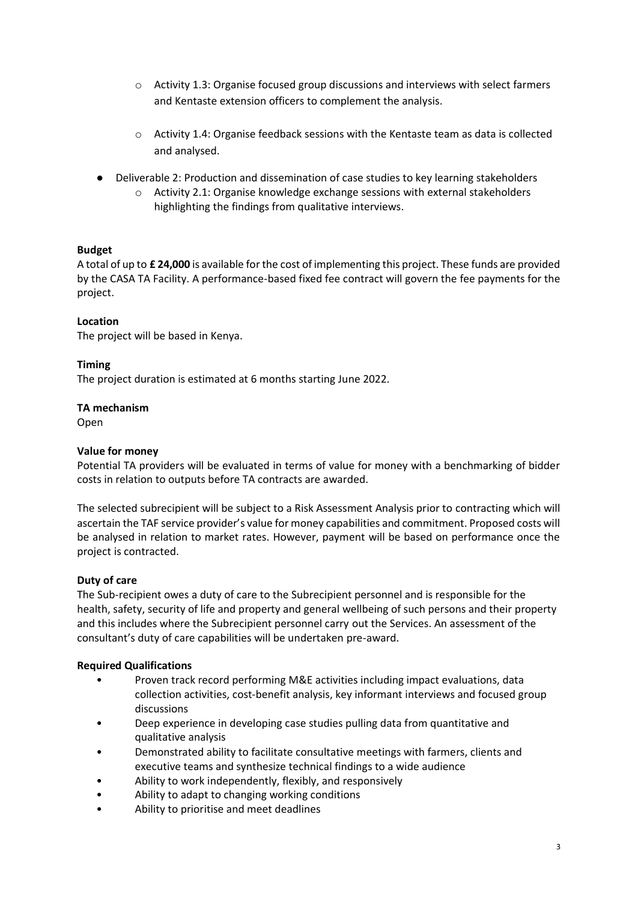- o Activity 1.3: Organise focused group discussions and interviews with select farmers and Kentaste extension officers to complement the analysis.
- o Activity 1.4: Organise feedback sessions with the Kentaste team as data is collected and analysed.
- Deliverable 2: Production and dissemination of case studies to key learning stakeholders
	- o Activity 2.1: Organise knowledge exchange sessions with external stakeholders highlighting the findings from qualitative interviews.

## **Budget**

A total of up to **£ 24,000** is available for the cost of implementing this project. These funds are provided by the CASA TA Facility. A performance-based fixed fee contract will govern the fee payments for the project.

## **Location**

The project will be based in Kenya.

#### **Timing**

The project duration is estimated at 6 months starting June 2022.

#### **TA mechanism**

Open

#### **Value for money**

Potential TA providers will be evaluated in terms of value for money with a benchmarking of bidder costs in relation to outputs before TA contracts are awarded.

The selected subrecipient will be subject to a Risk Assessment Analysis prior to contracting which will ascertain the TAF service provider's value for money capabilities and commitment. Proposed costs will be analysed in relation to market rates. However, payment will be based on performance once the project is contracted.

#### **Duty of care**

The Sub-recipient owes a duty of care to the Subrecipient personnel and is responsible for the health, safety, security of life and property and general wellbeing of such persons and their property and this includes where the Subrecipient personnel carry out the Services. An assessment of the consultant's duty of care capabilities will be undertaken pre-award.

#### **Required Qualifications**

- Proven track record performing M&E activities including impact evaluations, data collection activities, cost-benefit analysis, key informant interviews and focused group discussions
- Deep experience in developing case studies pulling data from quantitative and qualitative analysis
- Demonstrated ability to facilitate consultative meetings with farmers, clients and executive teams and synthesize technical findings to a wide audience
- Ability to work independently, flexibly, and responsively
- Ability to adapt to changing working conditions
- Ability to prioritise and meet deadlines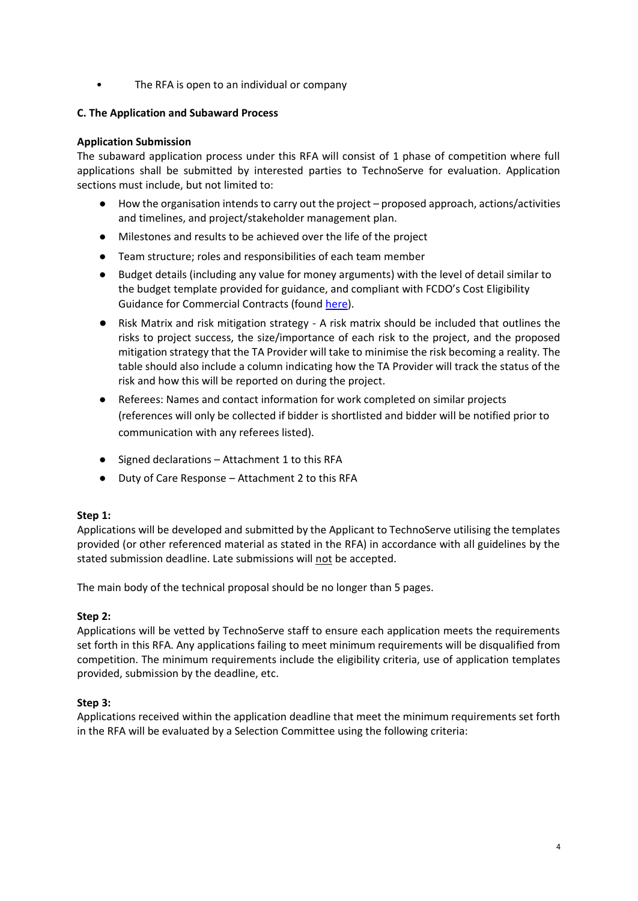• The RFA is open to an individual or company

## **C. The Application and Subaward Process**

### **Application Submission**

The subaward application process under this RFA will consist of 1 phase of competition where full applications shall be submitted by interested parties to TechnoServe for evaluation. Application sections must include, but not limited to:

- How the organisation intends to carry out the project proposed approach, actions/activities and timelines, and project/stakeholder management plan.
- Milestones and results to be achieved over the life of the project
- Team structure; roles and responsibilities of each team member
- Budget details (including any value for money arguments) with the level of detail similar to the budget template provided for guidance, and compliant with FCDO's Cost Eligibility Guidance for Commercial Contracts (found [here\)](https://assets.publishing.service.gov.uk/government/uploads/system/uploads/attachment_data/file/888316/Eligible-Cost-Policy-28May2020.pdf).
- Risk Matrix and risk mitigation strategy A risk matrix should be included that outlines the risks to project success, the size/importance of each risk to the project, and the proposed mitigation strategy that the TA Provider will take to minimise the risk becoming a reality. The table should also include a column indicating how the TA Provider will track the status of the risk and how this will be reported on during the project.
- Referees: Names and contact information for work completed on similar projects (references will only be collected if bidder is shortlisted and bidder will be notified prior to communication with any referees listed).
- Signed declarations Attachment 1 to this RFA
- Duty of Care Response Attachment 2 to this RFA

#### **Step 1:**

Applications will be developed and submitted by the Applicant to TechnoServe utilising the templates provided (or other referenced material as stated in the RFA) in accordance with all guidelines by the stated submission deadline. Late submissions will not be accepted.

The main body of the technical proposal should be no longer than 5 pages.

#### **Step 2:**

Applications will be vetted by TechnoServe staff to ensure each application meets the requirements set forth in this RFA. Any applications failing to meet minimum requirements will be disqualified from competition. The minimum requirements include the eligibility criteria, use of application templates provided, submission by the deadline, etc.

#### **Step 3:**

Applications received within the application deadline that meet the minimum requirements set forth in the RFA will be evaluated by a Selection Committee using the following criteria: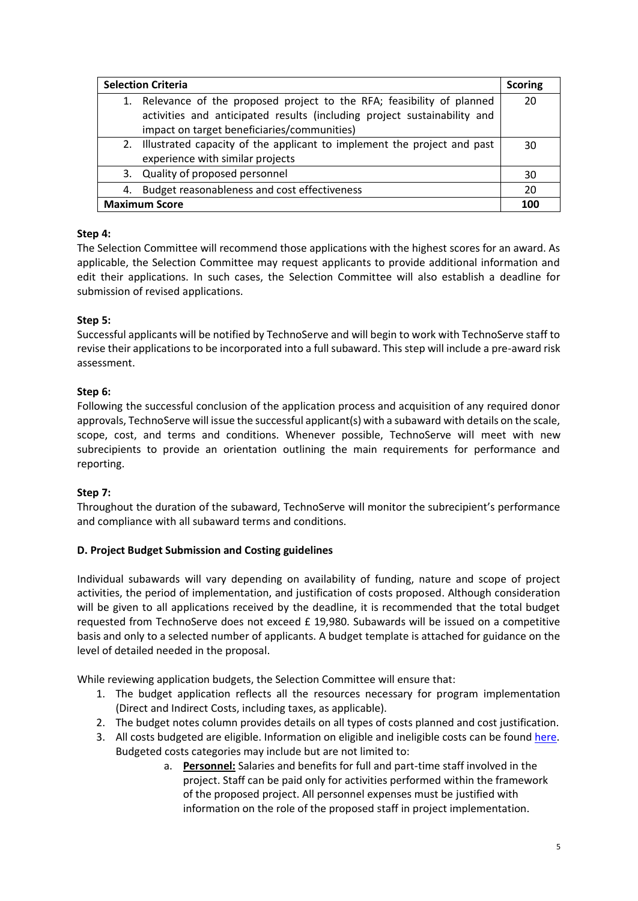| <b>Selection Criteria</b> |                                                                            | <b>Scoring</b> |
|---------------------------|----------------------------------------------------------------------------|----------------|
|                           | 1. Relevance of the proposed project to the RFA; feasibility of planned    | 20             |
|                           | activities and anticipated results (including project sustainability and   |                |
|                           | impact on target beneficiaries/communities)                                |                |
|                           | 2. Illustrated capacity of the applicant to implement the project and past | 30             |
|                           | experience with similar projects                                           |                |
|                           | 3. Quality of proposed personnel                                           | 30             |
| 4.                        | Budget reasonableness and cost effectiveness                               | 20             |
| <b>Maximum Score</b>      |                                                                            | 100            |

# **Step 4:**

The Selection Committee will recommend those applications with the highest scores for an award. As applicable, the Selection Committee may request applicants to provide additional information and edit their applications. In such cases, the Selection Committee will also establish a deadline for submission of revised applications.

# **Step 5:**

Successful applicants will be notified by TechnoServe and will begin to work with TechnoServe staff to revise their applications to be incorporated into a full subaward. This step will include a pre-award risk assessment.

# **Step 6:**

Following the successful conclusion of the application process and acquisition of any required donor approvals, TechnoServe will issue the successful applicant(s) with a subaward with details on the scale, scope, cost, and terms and conditions. Whenever possible, TechnoServe will meet with new subrecipients to provide an orientation outlining the main requirements for performance and reporting.

# **Step 7:**

Throughout the duration of the subaward, TechnoServe will monitor the subrecipient's performance and compliance with all subaward terms and conditions.

# **D. Project Budget Submission and Costing guidelines**

Individual subawards will vary depending on availability of funding, nature and scope of project activities, the period of implementation, and justification of costs proposed. Although consideration will be given to all applications received by the deadline, it is recommended that the total budget requested from TechnoServe does not exceed £ 19,980. Subawards will be issued on a competitive basis and only to a selected number of applicants. A budget template is attached for guidance on the level of detailed needed in the proposal.

While reviewing application budgets, the Selection Committee will ensure that:

- 1. The budget application reflects all the resources necessary for program implementation (Direct and Indirect Costs, including taxes, as applicable).
- 2. The budget notes column provides details on all types of costs planned and cost justification.
- 3. All costs budgeted are eligible. Information on eligible and ineligible costs can be found [here.](https://assets.publishing.service.gov.uk/government/uploads/system/uploads/attachment_data/file/888316/Eligible-Cost-Policy-28May2020.pdf) Budgeted costs categories may include but are not limited to:
	- a. **Personnel:** Salaries and benefits for full and part-time staff involved in the project. Staff can be paid only for activities performed within the framework of the proposed project. All personnel expenses must be justified with information on the role of the proposed staff in project implementation.